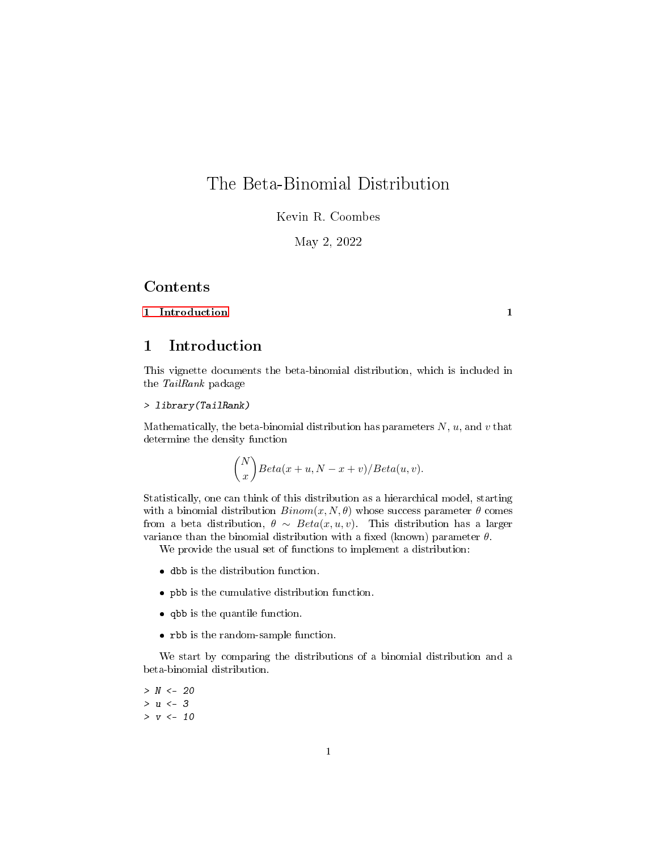## The Beta-Binomial Distribution

Kevin R. Coombes

May 2, 2022

## Contents

## [1 Introduction](#page-0-0) 1

<span id="page-0-0"></span>1 Introduction

This vignette documents the beta-binomial distribution, which is included in the TailRank package

> library(TailRank)

Mathematically, the beta-binomial distribution has parameters  $N, u$ , and  $v$  that determine the density function

$$
\binom{N}{x} Beta(x+u, N-x+v)/Beta(u,v).
$$

Statistically, one can think of this distribution as a hierarchical model, starting with a binomial distribution  $Binom(x, N, \theta)$  whose success parameter  $\theta$  comes from a beta distribution,  $\theta \sim Beta(x, u, v)$ . This distribution has a larger variance than the binomial distribution with a fixed (known) parameter  $\theta$ .

We provide the usual set of functions to implement a distribution:

- dbb is the distribution function.
- pbb is the cumulative distribution function.
- qbb is the quantile function.
- rbb is the random-sample function.

We start by comparing the distributions of a binomial distribution and a beta-binomial distribution.

 $> N < - 20$  $> u < -3$  $> v \le -10$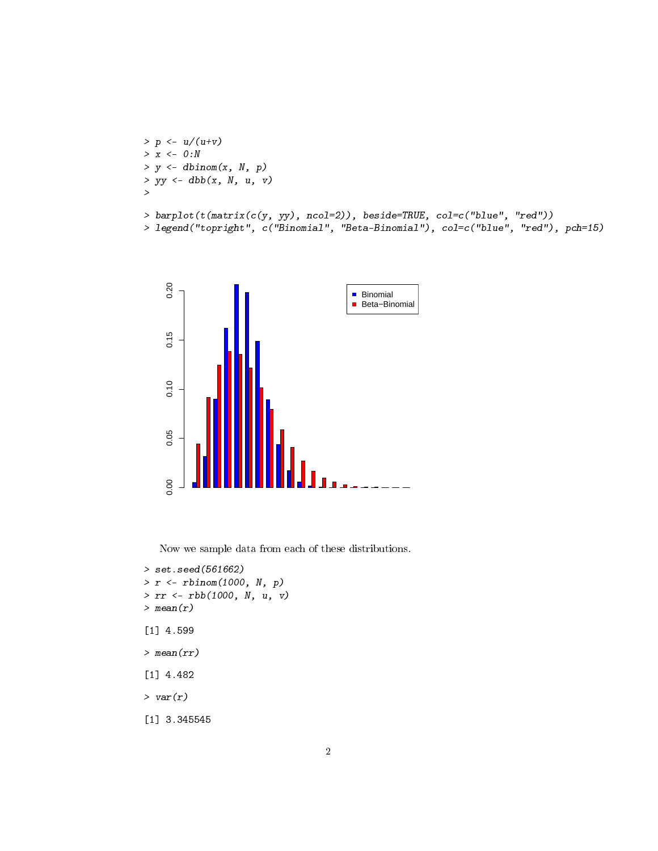```
> p \le u/(u+v)> x < - 0: N> y \le dbinom(x, N, p)> yy \leftarrow dbb(x, N, u, v)>
> barplot(t(matrix(c(y, yy), ncol=2)), beside=TRUE, col=c("blue", "red"))
> legend("topright", c("Binomial", "Beta-Binomial"), col=c("blue", "red"), pch=15)
```


Now we sample data from each of these distributions.

```
> set.seed(561662)
> r <- rbinom(1000, N, p)
> rr <- rbb(1000, N, u, v)
> mean(r)
[1] 4.599
> mean(rr)
[1] 4.482
> var(r)[1] 3.345545
```